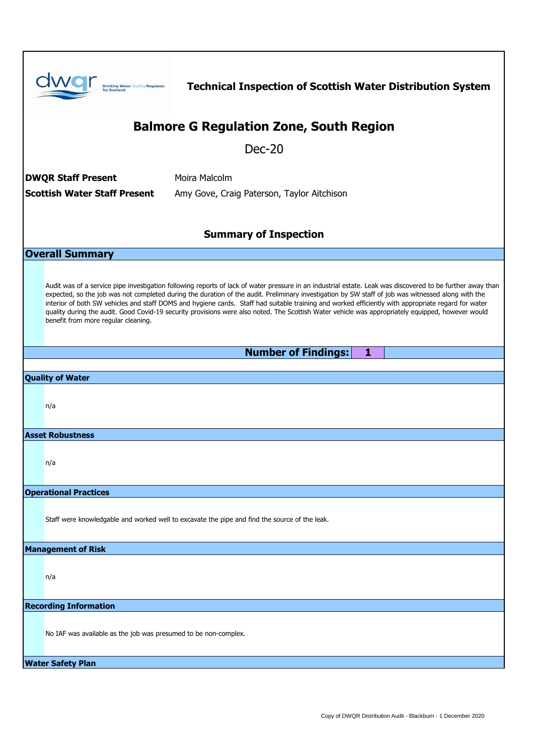|                                                                                   | <b>Drinking Water Quality Regulator</b><br><b>Scotland</b>                                                                                                                                                                                                                                                                                                                                                                                                                                                                                                                                                                                                          | <b>Technical Inspection of Scottish Water Distribution System</b>                             |  |
|-----------------------------------------------------------------------------------|---------------------------------------------------------------------------------------------------------------------------------------------------------------------------------------------------------------------------------------------------------------------------------------------------------------------------------------------------------------------------------------------------------------------------------------------------------------------------------------------------------------------------------------------------------------------------------------------------------------------------------------------------------------------|-----------------------------------------------------------------------------------------------|--|
| <b>Balmore G Regulation Zone, South Region</b>                                    |                                                                                                                                                                                                                                                                                                                                                                                                                                                                                                                                                                                                                                                                     |                                                                                               |  |
| $Dec-20$                                                                          |                                                                                                                                                                                                                                                                                                                                                                                                                                                                                                                                                                                                                                                                     |                                                                                               |  |
| <b>DWQR Staff Present</b><br>Moira Malcolm                                        |                                                                                                                                                                                                                                                                                                                                                                                                                                                                                                                                                                                                                                                                     |                                                                                               |  |
| <b>Scottish Water Staff Present</b><br>Amy Gove, Craig Paterson, Taylor Aitchison |                                                                                                                                                                                                                                                                                                                                                                                                                                                                                                                                                                                                                                                                     |                                                                                               |  |
| <b>Summary of Inspection</b>                                                      |                                                                                                                                                                                                                                                                                                                                                                                                                                                                                                                                                                                                                                                                     |                                                                                               |  |
| <b>Overall Summary</b>                                                            |                                                                                                                                                                                                                                                                                                                                                                                                                                                                                                                                                                                                                                                                     |                                                                                               |  |
|                                                                                   | Audit was of a service pipe investigation following reports of lack of water pressure in an industrial estate. Leak was discovered to be further away than<br>expected, so the job was not completed during the duration of the audit. Preliminary investigation by SW staff of job was witnessed along with the<br>interior of both SW vehicles and staff DOMS and hygiene cards. Staff had suitable training and worked efficiently with appropriate regard for water<br>quality during the audit. Good Covid-19 security provisions were also noted. The Scottish Water vehicle was appropriately equipped, however would<br>benefit from more regular cleaning. |                                                                                               |  |
|                                                                                   |                                                                                                                                                                                                                                                                                                                                                                                                                                                                                                                                                                                                                                                                     | <b>Number of Findings:</b><br>1                                                               |  |
| <b>Quality of Water</b>                                                           |                                                                                                                                                                                                                                                                                                                                                                                                                                                                                                                                                                                                                                                                     |                                                                                               |  |
|                                                                                   | n/a                                                                                                                                                                                                                                                                                                                                                                                                                                                                                                                                                                                                                                                                 |                                                                                               |  |
| <b>Asset Robustness</b>                                                           |                                                                                                                                                                                                                                                                                                                                                                                                                                                                                                                                                                                                                                                                     |                                                                                               |  |
|                                                                                   | n/a                                                                                                                                                                                                                                                                                                                                                                                                                                                                                                                                                                                                                                                                 |                                                                                               |  |
| <b>Operational Practices</b>                                                      |                                                                                                                                                                                                                                                                                                                                                                                                                                                                                                                                                                                                                                                                     |                                                                                               |  |
|                                                                                   |                                                                                                                                                                                                                                                                                                                                                                                                                                                                                                                                                                                                                                                                     | Staff were knowledgable and worked well to excavate the pipe and find the source of the leak. |  |
| <b>Management of Risk</b>                                                         |                                                                                                                                                                                                                                                                                                                                                                                                                                                                                                                                                                                                                                                                     |                                                                                               |  |
|                                                                                   | n/a                                                                                                                                                                                                                                                                                                                                                                                                                                                                                                                                                                                                                                                                 |                                                                                               |  |
| <b>Recording Information</b>                                                      |                                                                                                                                                                                                                                                                                                                                                                                                                                                                                                                                                                                                                                                                     |                                                                                               |  |
|                                                                                   | No IAF was available as the job was presumed to be non-complex.                                                                                                                                                                                                                                                                                                                                                                                                                                                                                                                                                                                                     |                                                                                               |  |
| <b>Water Safety Plan</b>                                                          |                                                                                                                                                                                                                                                                                                                                                                                                                                                                                                                                                                                                                                                                     |                                                                                               |  |